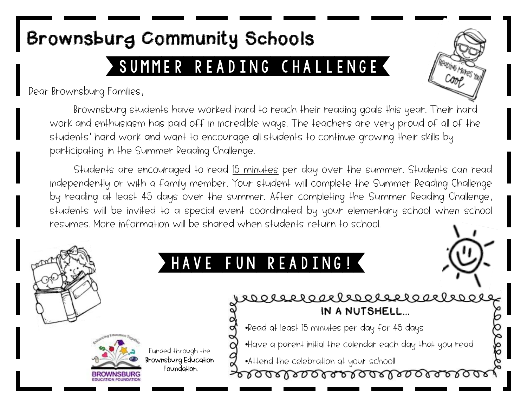## SUMMER READING CHALLENGE Brownsburg Community Schools

Dear Brownsburg Families,

**Ding Makes** You

Brownsburg students have worked hard to reach their reading goals this year. Their hard work and enthusiasm has paid off in incredible ways. The teachers are very proud of all of the students' hard work and want to encourage all students to continue growing their skills by participating in the Summer Reading Challenge.

Students are encouraged to read 15 minutes per day over the summer. Students can read independently or with a family member. Your student will complete the Summer Reading Challenge by reading at least 45 days over the summer. After completing the Summer Reading Challenge, students will be invited to a special event coordinated by your elementary school when school resumes. More information will be shared when students return to school.

## VE FUN READING! rochstrachersen IN A NUTSHELL… •Read at least 15 minutes per day for 45 days •Have a parent initial the calendar each day that you read Funded through the Brownsburg Education •Attend the celebration at your school! Foundation. soarbaaraalaaraaraa